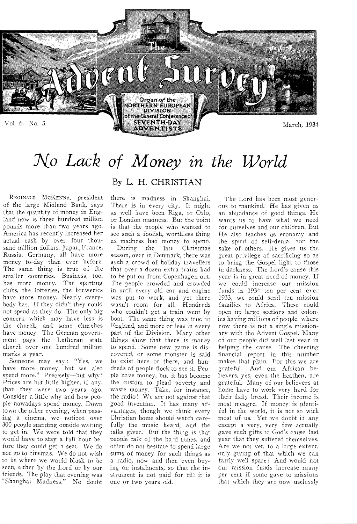

# *No Lack of Money in the World*

REGINALD MCKENNA, president of the large Midland Bank, says that the quantity of money in England now is three hundred million pounds more than two years ago. America has recently increased her actual cash by over four thousand million dollars. Japan, France, Russia, Germany, all have more money to-day than ever before. The same thing is true of the smaller countries. Business, too, has more money. The sporting clubs, the lotteries, the breweries have more money. Nearly everybody has. If they didn't they could not spend as they do. The only big concern which may have less is the church, and some churches have money. The German government pays the Lutheran state church over one hundred million marks a year.

Someone may say: "Yes, we have more money, but we also spend more." Precisely—but why? Prices are but little higher, if any, than they were two years ago. Consider a little why and how people nowadays spend money. Down town the other evening, when passing a cinema, we noticed over 300 people standing outside waiting to get in. We were told that they would have to stay a full hour before they could get a seat. We do not go to cinemas. We do not wish to be where we would blush to be seen, either by the Lord or by our friends. The play that evening was "Shanghai Madness." No doubt

### By L. H. CHRISTIAN

there is madness in Shanghai. There is in every city. It might as well have been Riga, or Oslo, or London madness. But the point is that the people who wanted to see such a foolish, worthless thing as madness had money to spend.

During the late Christmas season, over in Denmark, there was such a crowd of holiday travellers that over a dozen extra trains had to be put on from Copenhagen out. The people crowded and crowded in until every old car and engine was put to work, and yet there wasn't room for all. Hundreds who couldn't get a train went by boat. The same thing was true in England, and more or less in every part of the Division. Many other things show that there is money to spend. Some new game is discovered, or some monster is said to exist here or there, and hundreds of people flock to see it. People have money, but it has become the custom to plead poverty and waste money. Take, for instance, the radio ! We are not against that good invention. It has many advantages, though we think every Christian home should watch carefully the music heard, and the talks given. But the thing is that people talk of the hard times, and often do not hesitate to spend large sums of money for such things as a radio, now and then even buying on instalments, so that the instrument is not paid for till it is one or two years old.

The Lord has been most generous to mankind. He has given us an abundance of good things. He wants us to have what we need for ourselves and our children. But He also teaches us economy and the spirit of self-denial for the sake of others. He gives us the great privilege of sacrificing so as to bring the Gospel light to those in darkness. The Lord's cause this year is in great need of money. If we could increase our mission funds in 1934 ten per cent over 1933, we could send ten mission families to Africa. These could open up large sections and colonies having millions of people, where now there is not a single missionary with the Advent Gospel. Many of our people did well last year in helping the cause. The cheering financial report in this number makes that plain. For this we are grateful. And our African believers, yes, even the heathen, are grateful. Many of our believers at home have to work very hard for their daily bread. Their income is most meagre. If money is plentiful in the world, it is not so with most of us. Yet we doubt if any except a very, very few actually gave such gifts to God's cause last year that they suffered themselves. Are we not yet, to a large extent, only giving of that which we can fairly well spare? And would not our mission funds increase many per cent if some gave to missions that which they are now uselessly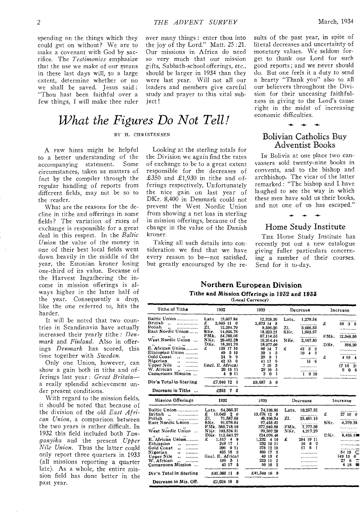spending on the things which they could get on without? We are to make a covenant with God by sacrifice. The *Testimonies* emphasize that the use we make of our means in these last days will, to a large extent, determine whether or no we shall be saved. Jesus said : "Thou hast been faithful over a few things, I will make thee ruler

over many things : enter thou into the joy of thy Lord." Matt. 25 :21. Our missions in Africa do need so very much that our mission gifts, Sabbath-school offerings, etc., should be larger in 1934 than they were last year. Will not all our leaders and members give careful study and prayer to this vital subject!

Looking at the sterling totals for the Division we again find the rates of exchange to be to a great extent responsible for the decreases of  $£350$  and  $£1,930$  in tithe and offerings respectively. Unfortunately the nice gain on last year of DKr. 8,400 in Denmark could not prevent the West Nordic Union from showing a net loss in sterling in mission offerings, because of the change in the value of the Danish

Taking all such details into consideration we find that we have every reason to be—not satisfied, but greatly encouraged by the re-

# What the Figures Do Not Tell! <sup>economic difficulties.</sup>

#### BY H. CHRISTENSEN

kroner.

A FEW hints might be helpful to a better understanding of the<br>accompanying statement. Some accompanying statement. circumstances, taken as matters of fact by the compiler through the regular handling of reports from different fields, may not be so to the reader.

What are the reasons for the decline in tithe and offerings in some fields? The variation of rates of exchange is responsible for a great deal in this respect. In the *Baltic Union* the value of the money in one of their best local fields went down heavily in the middle of the year, the Estonian kroner losing one-third of its value. Because of the Harvest Ingathering the income in mission offerings is always higher in the latter half of the year. Consequently a drop, like the one referred to, hits the harder.

It will be noted that two countries in Scandinavia have actually increased their yearly tithe : *Denmark* and *Finland.* Also in offerings *Denmark* has scored, this time together with *Sweden.* 

Only one Union, however, can show a gain both in tithe and offerings last year : *Great Britain* a really splendid achievement under present conditions.

With regard to the mission fields, it should be noted that because of the division of the old *East African Union,* a comparison between the two years is rather difficult. In 1932 this field included both *Tanganyika* and the present *Upper Nile Union.* Thus the latter could only report three quarters in 1933 (all missions reporting a quarter late). As a whole, the entire mission field has done better in the past year.

literal decreases and uncertainty of monetary values. We seldom forget to thank our Lord for such good reports; and we never should do. But one feels it a duty to send a hearty "Thank you" also to all our believers throughout the Division for their unceasing faithfulness in giving to the Lord's cause right in the midst of increasing

sults of the past year, in spite of

### Bolivian Catholics Buy Adventist Books

IN Bolivia at one place two canvassers sold twenty-nine books in convents, and to the bishop and archbishop. The vicar of the latter remarked : "The bishop and I have laughed to see the way in which these men have sold us their books, and not one of us has escaped."

### **-4- -4- -4.-**  Home Study Institute

THE Home Study Institute has recently put out a new catalogue *giving* fuller particulars concerning a number of their courses. Send for it to-day.

#### **Northern European Division Tithe and Mission Offerings in 1932 and 1933**  (Local Currency)

| Tithe of Tithe                                                                                                                                                                                                                                                                                                     | 1932                                                                                                                                                                                                                                                                                               | 1933                                                                                                                                                                                                                               | Decrease                                                                                                                                              | Increase                                                                                              |
|--------------------------------------------------------------------------------------------------------------------------------------------------------------------------------------------------------------------------------------------------------------------------------------------------------------------|----------------------------------------------------------------------------------------------------------------------------------------------------------------------------------------------------------------------------------------------------------------------------------------------------|------------------------------------------------------------------------------------------------------------------------------------------------------------------------------------------------------------------------------------|-------------------------------------------------------------------------------------------------------------------------------------------------------|-------------------------------------------------------------------------------------------------------|
| Baltic Union<br>British<br><br>$\ddot{\phantom{a}}$<br>Polish<br>East Nordic Union<br>West Nordic Union<br>E. African Union<br>Ethiopian Union<br>Gold Coast<br>.,<br>Nigerian<br>$\ddot{\phantom{a}}$<br>Upper Nile<br><br>W. African<br><br>Cameroons Mission<br>Div'n Total in Sterling<br>Decrease in Tithe    | Lats<br>13,607.84<br>£<br>2,605 11<br>- 0<br>Z1.<br>12.204.79<br>SKr.<br>14.926.78<br>FMk.<br>54,766,05<br>NKr.<br>20,482.29<br>DKr.<br>18,381.76<br>£<br>128 17 10<br>49<br>5 10<br>9<br>24<br>9<br>42 13<br>- 0<br>(incl. E. Africa)<br>20 15 11<br>4 9 11<br>£7,040 12<br>-5<br>£353<br>7.<br>5 | 12,328.30<br>2,673 14 8<br>8.596.26<br>13,323.21<br>67.114.55<br>18,314.44<br>18,977,06<br>86 14<br>7<br>39<br>5<br>$\mathbf{1}$<br>29<br>9<br>1<br>6<br>41 17<br>3<br>7 16<br>5<br>29<br>16<br>3<br>1<br>$\bf{0}$<br>£6,687<br>50 | 1,279.54<br>Lats.<br>.<br>21.<br>3,608.53<br>SKr.<br>1,603.57<br><br>NKr.<br>2,167.85<br>£<br>42 3 3<br>$10 -$<br>5<br>4<br>.<br>156<br>.<br><br>1910 | £<br>68 3 8<br>FMk.<br>12,348.50<br>DKr.<br>595.30<br>.<br>£<br>4 19 4<br>(7163)<br>9<br>o<br>6       |
|                                                                                                                                                                                                                                                                                                                    |                                                                                                                                                                                                                                                                                                    |                                                                                                                                                                                                                                    |                                                                                                                                                       |                                                                                                       |
| Mission Offerings                                                                                                                                                                                                                                                                                                  | 1932                                                                                                                                                                                                                                                                                               | 1933                                                                                                                                                                                                                               | Decrease                                                                                                                                              | Increase                                                                                              |
| Baltic Union<br>British<br>.<br>$\ddot{\phantom{a}}$<br>Polish<br>.<br>East Nordic Union<br>West Nordic Union<br>$^{\bullet}$<br>E. African Union<br>Ethiopian<br><br>Gold Coast<br><br>Nigerian<br>$\ddot{\phantom{1}}$<br>Upper Nile<br>,,<br><br>W. African<br><br>Cameroons Mission<br>Div'n Total in Sterling | Lats.<br>84,366.37<br>£<br>15.649 2 0<br>Z1.<br>71,587.69<br>SKr.<br>91,076.04<br>FMk. 385.718.10<br>NKr.<br>103,524 51<br>DKr. 115,641,27<br>£<br>1.517<br>4<br>9<br>248 17<br>1<br>396<br>011<br>425 18<br>3<br>(incl. E. Africa)<br>196<br>- 5<br>1<br>43 17<br>5<br>£43,365 11<br>8            | 74,108.85<br>$15,676$ $12$ 0<br>46,106.54<br>97.455.42<br>377,940.80<br>99.307.28<br>124.076.46<br>1.232<br>4 10<br>232 10 11<br>378 12 10<br>3<br>480 17<br>49 13<br>е<br>2<br>223 11<br>50 16<br>$\mathbf{2}$<br>£41,340 16 8    | 10,257.52<br>Lats.<br>Z1.<br>25.481.15<br>FMk.<br>7.777.30<br>NKr.<br>4,217.23<br><br>£<br>284 19 11<br>2<br>- 6<br>16<br>8<br>17<br>1<br>            | £<br>27 10 0<br>SKr.<br>6.379.38<br>DKr.<br>8,435.19<br>54 19<br>(49.13)<br>6<br>27<br>6<br>6 18<br>▬ |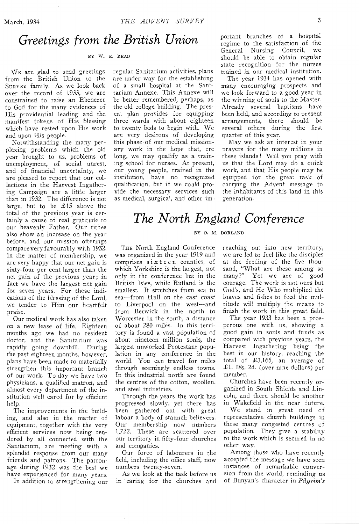### *Greetings from the British Union*

#### BY W. E. READ

WE are glad to send greetings from the British Union to the SURVEY family. As we look back over the record of 1933, we are constrained to raise an Ebenezer to God for the many evidences of His providential leading and the manifest tokens of His blessing which have rested upon His work and upon His people.

Notwithstanding the many perplexing problems which the old year brought to us, problems of unemployment, of social unrest, and of financial uncertainty, we are pleased to report that our collections in the Harvest Ingathering Campaign are a little larger than in 1932. The difference is not large, but to be £15 above the total of the previous year is certainly a cause of real gratitude to our heavenly Father. Our tithes also show an increase on the year before, and our mission offerings compare very favourably with 1932. In the matter of membership, we are very happy that our net gain is sixty-four per cent larger than the net gain of the previous year; in fact we have the largest net gain for seven years. For these indications of the blessing of the Lord, we tender to Him our heartfelt praise.

Our medical work has also taken on a new lease of life. Eighteen months ago we had no resident doctor, and the Sanitarium was rapidly going downhill. During the past eighteen months, however. plans have been made to materially strengthen this important branch of our work. To-day we have two physicians, a qualified matron, and almost every department of the institution well cared for by efficient help.

The improvements in the building, and also in the matter of equipment, together with the very efficient services now being rendered by all connected with the Sanitarium, are meeting with a splendid response from our many friends and patrons. The patronage during 1932 was the best we have experienced for many years.

In addition to strengthening our

regular Sanitarium activities, plans are under way for the establishing of a small hospital at the Sanitarium Annexe. This Annexe will be better remembered, perhaps, as the old college building. The present plan provides for equipping three wards with about eighteen to twenty beds to begin with. We are very desirous of developing this phase of our medical missionary work in the hope that, ere long, we may qualify as a training school for nurses. At present, our young people, trained in the institution, have no recognized qualification, but if we could provide the necessary services such as medical, surgical, and other important branches of a hospital regime to the satisfaction of the General Nursing Council, we should be able to obtain regular state recognition for the nurses trained in our medical institution.

The year 1934 has opened with many encouraging prospects and we look forward to a good year in the winning of souls to the Master. Already several baptisms have been held, and according to present arrangements, there should be several others during the first quarter of this year.

May we ask an interest in your prayers for the many millions in these islands! Will you pray with us that the Lord may do a quick work, and that His people may be equipped for the great task of carrying the Advent message to the inhabitants of this land in this generation.

## *The North England Conference*

#### BY 0. M. DORLAND

THE North England Conference was organized in the year 1919 and comprises sixteen counties, of which Yorkshire is the largest, not only in the conference but in the British Isles, while Rutland is the smallest. It stretches from sea to sea—from Hull on the east coast to Liverpool on the west—and from Berwick in the north to Worcester in the south, a distance of about 280 miles. In this territory is found a vast population of about nineteen million souls, the largest unworked Protestant population in any conference in the world. You can travel for miles through seemingly endless towns. In this industrial north are found the centres of the cotton, woollen, and steel industries.

Through the years the work has progressed slowly, yet there has been gathered out with great labour a body of staunch believers. Our membership now numbers 1,722. These are scattered over our territory in fifty-four churches and companies.

Our force of labourers in the field, including the office staff, now numbers twenty-seven.

As we look at the task before us in caring for the churches and reaching out into new territory, we are led to feel like the disciples at the feeding of the five thousand, "What are these among so many?" Yet we are of good courage. The work is not ours but God's, and He Who multiplied the loaves and fishes to feed the multitude will multiply the means to finish the work in this great field.

The year 1933 has been a prosperous one with us, showing a good gain in souls and funds as compared with previous years, the Harvest Ingathering being the best in our history, reaching the total of £3,165, an average of £1. 18s. 2d. (over nine dollars) per member.

Churches have been recently organized in South Shields and Lincoln, and there should be another in Wakefield in the near future.

We stand in great need of representative church buildings in these many congested centres of population. They give a stability to the work which is secured in no other way.

Among those who have recently accepted the message we have seen instances of remarkable conversion from the world, reminding us of Bunyan's character in *Pilgrim's*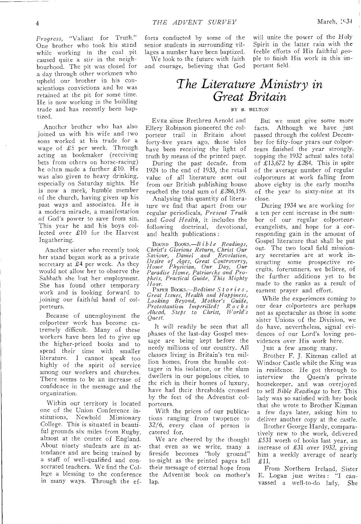*Progress,* "Valiant for Truth." One brother who took his stand while working in the coal pit caused quite a stir in the neighbourhood. The pit was closed for a day through other workmen who upheld our brother in his conscientious convictions and he was retained at the pit for some time. He is now working in the building trade and has recently been baptized.

Another brother who has also joined us with his wife and two sons worked at his trade for a wage of £5 per week. Through acting as bookmaker (receiving bets from others on horse-racing) he often made a further £10. He was also given to heavy drinking, especially on Saturday nights. He is now a meek, humble member of the church, having given up his past ways and associates. He is a modern miracle, a manifestation of God's power to save from sin. This year he and his boys collected over £10 for the Harvest Ingathering.

Another sister who recently took her stand began work as a private secretary at  $£4$  per week. As they would not allow her to observe the Sabbath she lost her employment. She has found other temporary work and is looking forward to joining our faithful band of colporteurs.

Because of unemployment the colporteur work has become extremely difficult. Many of these workers have been led to give up the higher-priced books and to spend their time with smaller literature. I cannot speak too highly of the spirit of service among our workers and churches. There seems to be an increase of confidence in the message and the organization.

Within our territory is located one of the Union Conference institutions, Newbold Missionary College. This is situated in beautiful grounds six miles from Rugby, almost at the centre of England. About ninety students are in attendance and are being trained by a staff of well-qualified and consecrated teachers. We find the College a blessing to the conference in many ways. Through the ef-

forts conducted by some of the senior students in surrounding villages a number have been baptized.

We look to the future with faith and courage, believing that God will unite the power of the Holy Spirit in the latter rain with the feeble efforts of His faithful people to finish His work in this important field.

## *The Literature Ministry in Great Britain*

#### BY B. BELTON

EVER since Brethren Arnold and Ellery Robinson pioneered the colporteur trail in Britain about forty-five years ago, these isles have been receiving the light of truth by means of the printed page.

During the past decade, from 1924 to the end of 1933, the retail value of all literature sent out from our British publishing house reached the total sum of £286,159.

Analysing this quantity of literature we find that apart from our regular periodicals, *Present Truth*  and *Good Health,* it includes the following doctrinal, devotional, and health publications :

BOUND *Booxs.—Bible Readings, Christ's Glorious Return, Christ Our Saviour, Daniel and Revelation, Desire of Ages, Great Controversy, Home Physician, Our Day, Our Paradise Home, Patriarchs and Prophets, Practical Guide, This Mighty Hoer.* 

PAPER *BOOKS. —Bedtime Stories, Great Issues, Health and Happiness, Looking Beyond, Mother's Guide, Protestantism Imperilled! Rocks Ahead, Steps to Christ, World's Quest.* 

It will readily be seen that all phases of the last-day Gospel message are being kept before the needy millions of our country. All classes living in Britain's ten million homes, from the humble cottager in his isolation, or the slum dwellers in our populous cities, to the rich in their homes of luxury, have had their thresholds crossed by the feet of the Adventist colporteurs.

With the prices of our publications ranging from twopence to 32/6, every class of person is catered for.

We are cheered by the thought that even as we write, many a fireside becomes "holy ground" to-night as the printed pages tell their message of eternal hope from the Adventist book on mother's lap.

But we must *give* some more facts. Although we have just passed through the coldest December for fifty-four years our colporteurs finished the year strongly, topping the 1932 actual sales total of £13,672 by £284. This in spite of the average number of regular colporteurs at work falling from above eighty in the early months of the year to sixty-nine at its close.

During 1934 we are working for a ten per cent increase in the number of our regular colporteurevangelists, and hope for a corresponding gain in the amount of Gospel literature that shall be put out. The two local field missionary secretaries are at work instructing some prospective recruits, forerunners, we believe, of the further additions yet to be made to the ranks as a result of earnest prayer and effort.

While the experiences *coming* to our dear colporteurs are perhaps not as spectacular as those in some sister Unions of the Division, we do have, nevertheless, signal evidences of our Lord's loving providences over His work here.

Just a few among many.

Brother F. J. Kinman called at Windsor Castle while the King was in residence. He got through to interview the Queen's private housekeeper, and was overjoyed to sell *Bible Readings* to her. This lady was so satisfied with her book that she wrote to Brother Kinman a few days later, asking him to deliver another copy at the castle.

Brother George Hardy, comparatively new to the work, delivered £531 worth of books last year, an increase of £31 over 1932, *giving*  him a weekly average of nearly £11.

From Northern Ireland, Sister E. Logan just writes : "I canvassed a well-to-do lady, She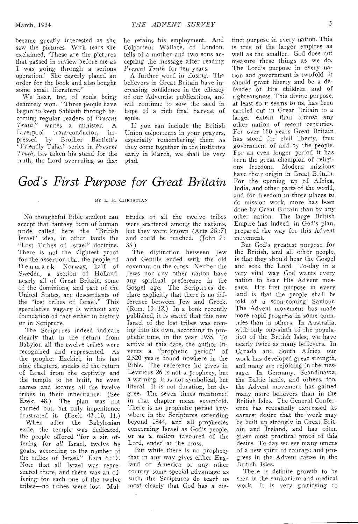became greatly interested as she saw the pictures. With tears she exclaimed, 'These are the pictures that passed in review before me as I was going through a serious operation.' She eagerly placed an order for the book and also bought some small literature."

We hear, too, of souls being definitely won. "Three people have begun to keep Sabbath through becoming regular readers of *Present Truth,"* writes a minister. A Liverpool tram-conductor, impressed by Brother Bartlett's "Friendly Talks" series in *Present Truth,* has taken his stand for the truth, the Lord overruling so that

he retains his employment. And Colporteur Wallace, of London, tells of a mother and two sons accepting the message after reading *Present Truth* for ten years.

A further word in closing. The believers in Great Britain have increasing confidence in the efficacy of our Adventist publications, and will continue to sow the seed in hope of a rich final harvest of souls.

If you can include the British Union colporteurs in your prayers, especially remembering them as they come together in the institutes early in March, we shall be very glad.

# *God's First Purpose for Great Britain*

#### BY L. H. CHRISTIAN

No thoughtful Bible student can accept that fantasy born of human pride called here the "British Israel" idea, in other lands the "Lost Tribes of Israel" doctrine. There is not the slightest proof for the assertion that the people of Denmar k, Norway, half of Sweden, a section of Holland, nearly all of Great Britain, some of the dominions, and part of the United States, are descendants of the "lost tribes of Israel." This speculative vagary is without any foundation of fact either in history or in Scripture.

The Scriptures indeed indicate clearly that in the return from Babylon all the twelve tribes were recognized and represented. As the prophet Ezekiel, in his last nine chapters, speaks of the return of Israel from the captivity and the temple to be built, he even names and locates all the twelve tribes in their inheritance. (See Ezek. 48.) The plan was not carried out, but only impenitence frustrated it. (Ezek. 43 :10, 11.)

When after the Babylonian exile, the temple was dedicated, the people offered "for a sin offering for *all* Israel, twelve he goats, according to the number of the tribes of Israel." Ezra 6 :17. Note that all Israel was represented there, and there was an offering for each one of the twelve tribes—no tribes were lost. Mul-

titudes of all the twelve tribes were scattered among the nations, but they were known (Acts 26 :7) and could be reached. (John 7: 35.)

The distinction between Jew and Gentile ended with the old covenant on the cross. Neither the Jews nor any other nation have any spiritual preference in the Gospel age. The Scriptures declare explicitly that there is no difference between Jew and Greek. (Rom. 10 :12.) In a book recently published, it is stated that this new Israel of the lost tribes was coming into its own, according to prophetic time, in the year 1935. To arrive at this date, the author invents a "prophetic period" of 2,520 years found nowhere in the Bible. The reference he gives in Leviticus 26 is not a prophecy, but a warning. It is not symbolical, but literal. It is not duration, but degree. The seven times mentioned in that chapter mean sevenfold. There is no prophetic period anywhere in the Scriptures extending beyond 1844, and all prophecies concerning Israel as God's people, or as a nation favoured of the Lord, ended at the cross.

But while there is no prophecy that in any way gives either England or America or any other country some special advantage as such, the Scriptures do teach us most clearly that God has a dis-

tinct purpose in every nation. This is true of the larger empires as well as the smaller. God does not measure these things as we do. The Lord's purpose in every nation and government is twofold. It should grant liberty and be a defender of His children and of righteousness. This divine purpose, at least so it seems to us, has been carried out in Great Britain to a larger extent than almost any other nation of recent centuries. For over 150 years Great Britain has stood for civil liberty, free government of and by the people. For an even longer period it has been the great champion of religious freedom. Modern missions have their origin in Great Britain. For the opening up of Africa, India, and other parts of the world, and for freedom in those places to do mission work, more has been done by Great Britain than by any other nation. The large British Empire has indeed, in God's plan, prepared the way for this Advent movement.

But God's greatest purpose for the British, and all other people, is that they should hear the Gospel and seek the Lord. To-day in a very vital way God wants every nation to hear His Advent message. His first purpose in every land is that the people shall be told of a soon-coming Saviour. The Advent movement has made more rapid progress in some countries than in others. In Australia, with only one-sixth of the population of the British Isles, we have nearly twice as many believers. In Canada and South Africa our work has developed great strength, and many are rejoicing in the message. In Germany, Scandinavia, the Baltic lands, and others, too, the Advent movement has gained many more believers than in the British Isles. The General Conference has repeatedly expressed its earnest desire that the work may be built up strongly in Great Britain and Ireland, and has often given most practical proof of this desire. To-day we see many omens of a new spirit of courage and progress in the Advent cause in the British Isles.

There is definite growth to be seen in the sanitarium and medical work. It is very gratifying to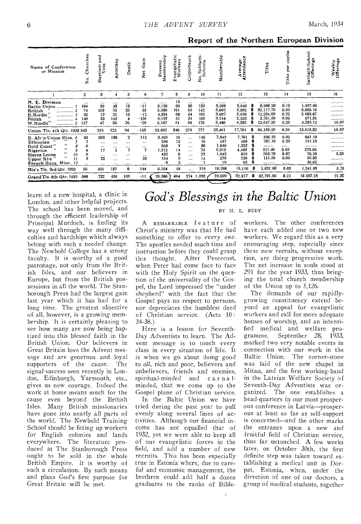| Name of Conference<br>or Mission                                                                                                                                                                | 쨞<br>Ě<br>ర్<br>s.<br>Z                   | and<br>aptism<br>Vote                                    | postasy<br>ď.                                 | Death                                                                             | ain<br>Ф<br><b>Net</b>                                           | Membership<br>resent<br>Δ.                      | vangelistic<br>Workers<br>$\rightarrow$<br>ω | Colporteurs                                                      | Sabbath-<br>chools<br>$\circ$ $\circ$<br>ż  | Membership                                           | Average<br>ittendance<br>×.                        |   | Tithe                                                           | capita<br>per<br>Tithe                      | Sabbath-School<br>Offerings                                           | Weekly<br>Offerings           |
|-------------------------------------------------------------------------------------------------------------------------------------------------------------------------------------------------|-------------------------------------------|----------------------------------------------------------|-----------------------------------------------|-----------------------------------------------------------------------------------|------------------------------------------------------------------|-------------------------------------------------|----------------------------------------------|------------------------------------------------------------------|---------------------------------------------|------------------------------------------------------|----------------------------------------------------|---|-----------------------------------------------------------------|---------------------------------------------|-----------------------------------------------------------------------|-------------------------------|
|                                                                                                                                                                                                 | $\bf{2}$                                  | 3                                                        | 4                                             | 5                                                                                 | 6                                                                | 7                                               | 8                                            | 9                                                                | 10                                          | 11                                                   | 12                                                 |   | 13                                                              | 14                                          | 15                                                                    | 16                            |
| N. E. Division<br>Baltic Union<br>British<br>.<br>E.Nordic<br><br>Polish<br><br>W.Nordic"<br>                                                                                                   | $\cdots$<br>104<br>74<br>92<br>146<br>127 | $\cdots$<br>39<br>153<br>19<br>33<br>47                  | $\cdots$<br>43<br>75<br>21<br>145<br>38       | $\cdots$<br>13<br>28<br>13<br>36                                                  | $\ddotsc$<br>$-11$<br>53<br>$-12$<br>$-156$<br>$-29$             | <br>5.126<br>5.038<br>4.354<br>3.197<br>6.167   | 15<br>60<br>101<br>68<br>51<br>51            | $\cdots$<br>36<br>65<br>64<br>51<br>58                           | $\cdots$<br>133<br>142<br>169<br>163<br>170 | <br>5,298<br>5,002<br>3,897<br>3,744<br>5,460        | <br>3,846<br>3,882<br>3,056<br>2,525<br>4,392      |   | <br>8,998.20<br>32,117.70<br>12,234.60<br>3.761.50<br>23,047.20 | <br>0.13<br>0.50<br>0.22<br>0.09<br>0.29    | . . <i>.</i><br>1,537.06<br>5,889.16<br>2682.67<br>971.31<br>4,535,12 | .<br><br>.<br>.<br>.<br>16.07 |
| Union Tls. 4th Qtr. 1933 543                                                                                                                                                                    |                                           | 291                                                      | 322                                           | 94                                                                                | $-155$                                                           | 23,882                                          | 346                                          | 274                                                              | 777                                         | 23,401                                               | 17,701                                             | s | 80.159.20                                                       | 0.26                                        | 15,615.32                                                             | 16.07                         |
| E. Afr'n Union Miss. 6<br>Ethiopian<br>$^{44}$<br>Gold Coast"<br>$\bullet\bullet$<br>9<br>Nigerian<br>$\bullet\bullet$<br>10<br>Sierra Leone<br>$\cdots$<br>Upper Nile<br>French Equa. Misn. 12 | 30<br>3<br>$\cdots$                       | 392<br>$\ddotsc$<br><br>17<br>$\cdots$<br>22<br>$\cdots$ | 136<br>$\ddotsc$<br><br>1<br>$\cdots$<br><br> | $\boldsymbol{2}$<br>$\cdots$<br>$\cdots$<br>7<br>$\cdots$<br>$\cdots$<br>$\cdots$ | 112<br>$\ddotsc$<br>$\cdots$<br>7<br>$\cdots$<br>25<br>$\ddotsc$ | 3.463<br>289<br>568<br>1,212<br>432<br>134<br>6 | 16<br>12<br>3<br>14<br>8<br>9                | $\cdots$<br><br>$\cdots$<br><br>$\cdots$<br>$\cdots$<br>$\cdots$ | 146<br>16<br>36<br>79<br>23<br>14           | 7,543<br>457<br>1,640<br>5,319<br>1,042<br>278<br>19 | 7,761<br>406<br>1,322<br>4,485<br>819<br>238<br>85 | s | 836.10<br>767.10<br><br>517.40<br>395.70<br>115.50<br>          | 0.02<br>020<br><br>0.03<br>0.07<br>0.08<br> | 641.10<br>151,18<br><br>273.88<br>78,30<br>58.85<br>38.62             | <br><br><br><br>5.25<br><br>  |
| Mis's Tls. 3rd Qtr. 1933                                                                                                                                                                        | 56                                        | 431                                                      | 137                                           | 9                                                                                 | 144                                                              | 6,104                                           | 58                                           | $\cdots$                                                         | 315                                         | 16,298                                               | 15,116                                             | s | 2,631.80                                                        | 0.03                                        | 1.241.93                                                              | 5.25                          |
| Grand Tls. 4th Qtr. 1933                                                                                                                                                                        | 599                                       | 722                                                      | 459                                           | 103                                                                               | -11                                                              | 29.986                                          | 404                                          | 274                                                              | 1.092                                       | 39,699                                               | 32.817                                             | S | 82,791.00                                                       | 0.21                                        | 16 857.25                                                             | 21.37                         |

learn of a new hospital, a clinic in London, and other helpful projects. The school has been moved, and through the efficient leadership of Principal Murdoch, is finding its way well through the many difficulties and hardships which always belong with such a needed change. The Newbold College has a strong faculty. It is worthy of a good patronage, not only from the British Isles, and our believers in Europe, but from the British possessions in all the world. The Stanborough Press had the largest gain last year which it has had for a long time. The greatest objective of all, however, is a growing membership. It is certainly pleasing to see how many are now being baptized into this blessed faith in the British Union. Our believers in Great Britain love the Advent message and are generous and loyal supporters of the cause. The signal success seen recently in London, Edinburgh, Yarmouth, etc., gives us new courage. Indeed the work at home means much for the cause even beyond the British Isles. Many British missionaries have gone into nearly all parts of the world. The Newbold Training School should be fitting up workers for English colonies and lands everywhere. The literature produced at The Stanborough Press ought to be sold in the whole British Empire. It is worthy of such a circulation. By such means and plans God's first purpose for

Great Britain will be met.

# God's Blessings in the Baltic Union

Report of the Northern European Division

### BY H. L. RUDY

A REMARKABLE feature of Christ's ministry was that He had something to offer to every one. The apostles needed much time and instruction before they could grasp this thought. After Pentecost, when Peter had come face to face with the Holy Spirit on the question of the universality of the Gospel, the Lord impressed the "under shepherd" with the fact that the Gospel pays no respect to persons, nor depreciates the humblest deed of Christian service. (Acts 10:  $34 - 38.$ 

Here is a lesson for Seventh-Day Adventists to learn. The Advent message is to touch every class in every situation of life. It is when we go about doing good to all, rich and poor, believers and unbelievers, friends and enemies, spiritual-minded and carnalminded, that we come up to the Gospel plane of Christian service.

In the Baltic Union we have tried during the past year to pull evenly along several lines of activities. Although our financial income has not equalled that of 1932, yet we were able to keep all of our evangelistic forces in the field, and add a number of new recruits. This has been especially true in Estonia where, due to careful and economic management, the brethren could add half a dozen graduates to the ranks of Bibleworkers. The other conferences have each added one or two new workers. We regard this as a very encouraging step, especially since these new recruits, without exception, are doing progressive work. The net increase in souls stood at 291 for the year 1933, thus bringing the total church membership of the Union up to 5,126.

The demands of our rapidlygrowing constituency extend beyond an appeal for evangelistic workers and call for more adequate houses of worship, and an intensified medical and welfare programme. September 28, 1933. marked two very notable events in connection with our work in the Baltic Union. The corner-stone was laid of the new chapel in Mitau, and the first working-band in the Latvian Welfare Society of Seventh-Day Adventists was organized. The one establishes a head-quarters in our most prosperous conference in Latvia-prosperous at least so far as self-support is concerned—and the other marks the entrance upon a new and fruitful field of Christian service. thus far untouched. A few weeks later, on October 30th, the first definite step was taken toward establishing a medical unit in Dorpat, Estonia, when, under the direction of one of our doctors, a group of medical students, together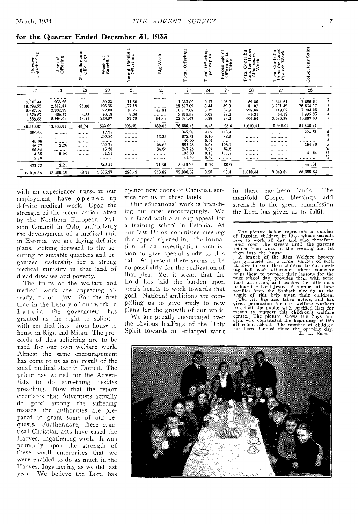| for the Quarter Ended December 31, 1933 |  |  |  |  |  |  |  |
|-----------------------------------------|--|--|--|--|--|--|--|
|-----------------------------------------|--|--|--|--|--|--|--|

| Ingathering<br>Harvest                                          | Annual<br>Offering                                                       | <b>us</b><br>ö<br>Miscellaneou<br>Offerings | Week of<br>Sacrifice                                                        | Young People's<br>Offerings                   | Week<br>Big                                        | Offerings<br>Total                                                           | Offerings<br>capita<br>per<br>Total                          | ថ្ល<br>٠<br>Percentage<br>Offerings<br>Tithe            | Total Contribu-<br>tions for Home<br>Missionary<br>Work | Total Contribu-<br>tions for Local<br>Church Work                | Sales<br>Colporteur                                              |                                          |
|-----------------------------------------------------------------|--------------------------------------------------------------------------|---------------------------------------------|-----------------------------------------------------------------------------|-----------------------------------------------|----------------------------------------------------|------------------------------------------------------------------------------|--------------------------------------------------------------|---------------------------------------------------------|---------------------------------------------------------|------------------------------------------------------------------|------------------------------------------------------------------|------------------------------------------|
| 17                                                              | 18                                                                       | 19                                          | 20                                                                          | 21                                            | 22                                                 | 23                                                                           | $^{24}$                                                      | 25                                                      | 26                                                      | 27                                                               | 28                                                               |                                          |
| <br>7,847.44<br>19,496.55<br>5.687.16<br>1,870.87<br>11.638.83  | . <b>. . .</b><br>1.936.66<br>2.812.81<br>2,302.93<br>439.57<br>5.994.04 | <br>$\cdots$<br>25.00<br><br>4.33<br>14.41  | <br>30.33<br>196.38<br>22.03<br>20.19<br>253.97                             | <br>11.60<br>177.19<br>10.25<br>9.66<br>87.79 | <br><br><br>47.64<br><br>91.44                     | <br>11.363.09<br>28.597.09<br>10,752.68<br>3.315.93<br>22,631.67             | <br>0.17<br>0.44<br>0.19<br>0.03<br>0.28                     | <br>126.3<br>89.0<br>87.9<br>88.2<br>98.2               | <br>59.36<br>81.07<br>798.66<br>65.31<br>606.04         | <b></b><br>1,321.61<br>3,771.49<br>1.119.62<br>54.42<br>3,680.88 | <br>2.665.64<br>26,634.17<br>7.704.26<br>1,935.05<br>15,889.69   | $\cdots$<br>1<br>$\frac{2}{3}$<br>4<br>5 |
| 46,540,85                                                       | 13,486.01                                                                | 43 74                                       | 522.90                                                                      | 296.49                                        | 139.08                                             | 76.660.46                                                                    | 0.25                                                         | 95.6                                                    | 1,610.44                                                | 9,948.02                                                         | 54,828.81                                                        |                                          |
| 289.64<br><br>40.00<br>46.77<br>85.59<br>4.85<br>5.88<br>472.73 | <b>*********</b><br><br><br>2.26<br><br>0.98<br><br>3.24                 | <br><br><br><br><br><br><br>                | 17.25<br>207.80<br><br>202.71<br>43 50<br>71.21<br>. <b>. .</b> .<br>542.47 | <br><br><br><br><br>.<br><br>                 | <br>13.33<br>.<br>26.63<br>34.64<br>.<br><br>74.60 | 947,99<br>372.31<br>40.00<br>552.25<br>247.28<br>135.89<br>44.50<br>2,340.22 | 0.02<br>0.10<br>0.01<br>0.04<br>0.04<br>0.10<br>0.57<br>0.03 | 113.4<br>48.5<br><br>106.7<br>62.5<br>117.7<br><br>88.9 | <br><br><br><br><br><br><br>                            | <br>.<br>.<br><br><br><br><br>                                   | 224.51<br>. <u>. .</u><br>.<br>294.86<br><br>41.64<br><br>561.01 | 6<br>s<br>9<br>10<br>11<br>12            |
| 47.013.58                                                       | 13,489.25                                                                | 43.74                                       | 1,065.37                                                                    | 296.49                                        | 213.68                                             | 79,000.68                                                                    | 0.20                                                         | 95.4                                                    | 1,610.44                                                | 9,948.02                                                         | 55,389.82                                                        |                                          |

with an experienced nurse in our employment, have opened up definite medical work. Upon the strength of the recent action taken by the Northern European Division Council in Oslo, authorizing the development of a medical unit in Estonia, we are laying definite plans, looking forward to the securing of suitable quarters and organized leadership for a strong medical ministry in that land of dread diseases and poverty.

The fruits of the welfare and medical work are appearing already, to our joy. For the first time in the history of our work in Latvia, the government has<br>granted us the right to solicitwith certified lists-from house to house in Riga and Mitau. The proceeds of this soliciting are to be used for our own welfare work. Almost the same encouragement has come to us as the result of the small medical start in Dorpat. The public has waited for the Adventists to do something besides preaching. Now that the report circulates that Adventists actually do good among the suffering masses, the authorities are prepared to grant some of our requests. Furthermore, these practical Christian acts have eased the Harvest Ingathering work. It was primarily upon the strength of these small enterprises that we were enabled to do as much in the Harvest Ingathering as we did last year. We believe the Lord has

opened new doors of Christian service for us in these lands.

Our educational work is branching out most encouragingly. We are faced with a strong appeal for a training school in Estonia. At our last Union committee meeting this appeal ripened into the formation of an investigation commission to give special study to this call. At present there seems to be no possibility for the realization of that plea. Yet it seems that the Lord has laid the burden upon men's hearts to work towards that goal. National ambitions are compelling us to give study to new plans for the growth of our work.

We are greatly encouraged over the obvious leadings of the Holy Spirit towards an enlarged work

The in these northern lands. manifold Gospel blessings add strength to the great commission the Lord has given us to fulfil.

The picture below represents a number<br>of Russian children in Riga whose parents<br>have to work all day and who therefore<br>must roam the streets until the parents<br>return from work in the evening and let

must roam the streets untur the evening and let<br>teturn from work in the evening and let<br>them into the buse.<br>A branch of the Riga Welfare Society<br>has arranged for a large number of such<br>families to send their children to ou